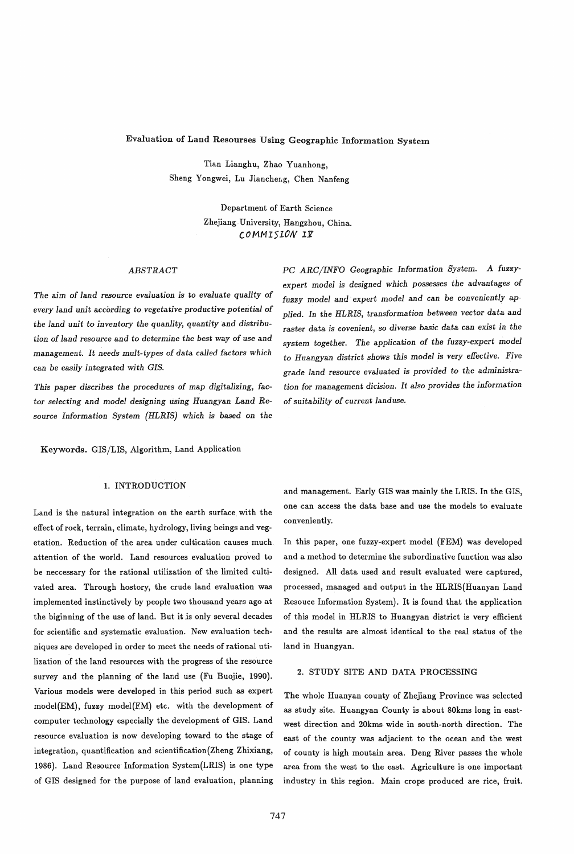# Evaluation of Land Resourses Using Geographic Information System

Tian Lianghu, Zhao Yuanhong, Sheng Yongwei, Lu Jiancheng, Chen Nanfeng

> Department of Earth Science Zhejiang University, Hangzhou, China. *COMMISION* Ii'

## *ABSTRACT*

*The aim* of *land resource evaluation is* to *evaluate quality* of *every land unit according* to *vegetative productive potential* of *the land unit* to *inventory the quanlity, quantity* and *distribution* of *land resource* and to *determine the best* way of *use* and management. It *needs mult-types* of data *called* factors *which*  can be *easily integrated with GIS.* 

*This paper discribes the procedures* of *map digitalizing,* factor selecting and model designing using Huangyan Land Re*source* Information *System (HLRIS) which is* based on *the* 

Keywords. GIS/LIS, Algorithm, Land Application

## 1. INTRODUCTION

Land is the natural integration on the earth surface with the effect of rock, terrain, climate, hydrology, living beings and vegetation. Reduction of the area under cultication causes much attention of the world. Land resources evaluation proved to be neccessary for the rational utilization of the limited cultivated area. Through hostory, the crude land evaluation was implemented instinctively by people two thousand years ago at the biginning of the use of land. But it is only several decades for scientific and systematic evaluation. New evaluation techniques are developed in order to meet the needs of rational utilization of the land resources with the progress of the resource survey and the planning of the land use (Fu Buojie, 1990). Various models were developed in this period such as expert model(EM), fuzzy model{FM) etc. with the development of computer technology especially the development of GIS. Land resource evaluation is now developing toward to the stage of integration, quantification and scientification(Zheng Zhixiang, 1986). Land Resource Information System(LRIS) is one type of GIS designed for the purpose of land evaluation, planning PC *ARC/INFO Geographic* Information *System. A fuzzyexpert model is designed which possesses the* advantages of *fuzzy model* and *expert model* and can be *conveniently* ap*plied.* In *the HLRIS,* transformation *between vector* data and raster data *is covenient,* so *diverse basic* data can *exist in the system together. The application* of *the fuzzy-expert model*  to Huangyan *district shows this model is very effective. Five*  grade *land resource evaluated is provided* to *the administration for* management *dicision.* It also *provides the information*  of *suitability* of *current land use.* 

and management. Early GIS was mainly the LRIS. In the GIS, one can access the data base and use the models to evaluate conveniently.

In this paper, one fuzzy-expert model (FEM) was developed and a method to determine the subordinative function was also designed. All data used and result evaluated were captured, processed, managed and output in the HLRIS(Huanyan Land Resouce Information System). It is found that the application of this model in RLRIS to Huangyan district is very efficient and the results are almost identical to the real status of the land in Ruangyan.

#### 2. STUDY SITE AND DATA PROCESSING

The whole Huanyan county of Zhejiang Province was selected as study site. Huangyan County is about 80kms long in eastwest direction and 20kms wide in south-north direction. The east of the county was adjacient to the ocean and the west of county is high moutain area. Deng River passes the whole area from the west to the east. Agriculture is one important industry in this region. Main crops produced are rice, fruit.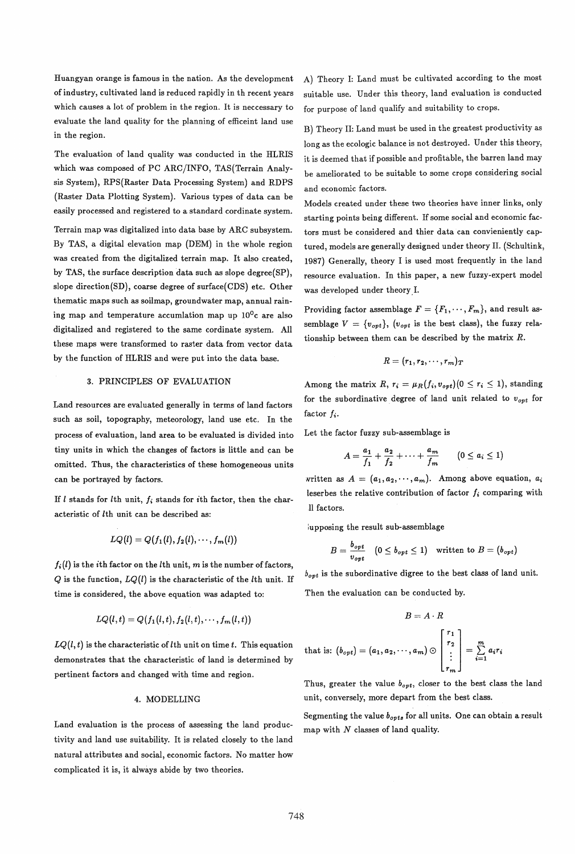Huangyan orange is famous in the nation. As the development of industry, cultivated land is reduced rapidly in th recent years which causes a lot of problem in the region. It is neccessary to evaluate the land quality for the planning of efficeint land use in the region.

The evaluation of land quality was conducted in the HLRIS which was composed of PC ARC/INFO, TAS(Terrain Analysis System), RPS(Raster Data Processing System) and RDPS (Raster Data Plotting System). Various types of data can be easily processed and registered to a standard cordinate system.

Terrain map was digitalized into data base by ARC subsystem. By TAS, a digital elevation map (DEM) in the whole region was created from the digitalized terrain map. It also created, by TAS, the surface description data such as slope degree(SP), slope direction(SD), coarse degree of surface(CDS) etc. Other thematic maps such as soilmap, groundwater map, annual raining map and temperature accumlation map up  $10^0$ c are also digitalized and registered to the same cordinate system. All these maps were transformed to raster data from vector data by the function of HLRIS and were put into the data base.

## 3. PRINCIPLES OF EVALUATION

Land resources are evaluated generally in terms of land factors such as soil, topography, meteorology, land use etc. In the process of evaluation, land area to be evaluated is divided into tiny units in which the changes of factors is little and can be omitted. Thus, the characteristics of these homogeneous units can be portrayed by factors.

If  $l$  stands for  $l$ th unit,  $f_i$  stands for *i*th factor, then the characteristic of lth unit can be described as:

$$
LQ(l) = Q(f_1(l), f_2(l), \cdots, f_m(l))
$$

 $f_i(l)$  is the *i*th factor on the *l*th unit, m is the number of factors,  $Q$  is the function,  $LQ(l)$  is the characteristic of the *l*th unit. If time is considered, the above equation was adapted to:

$$
LQ(l,t)=Q(f_1(l,t),f_2(l,t),\cdots,f_m(l,t))
$$

 $LQ(l, t)$  is the characteristic of *l*th unit on time *t*. This equation demonstrates that the characteristic of land is determined by pertinent factors and changed with time and region.

### 4. MODELLING

Land evaluation is the process of assessing the land productivity and land use suitability. It is related closely to the land natural attributes and social, economic factors. No matter how complicated it is, it always abide by two theories.

A) Theory I: Land must be cultivated according to the most suitable use. Under this theory, land evaluation is conducted for purpose of land qualify and suitability to crops.

B) Theory II: Land must be used in the greatest productivity as long as the ecologic balance is not destroyed. Under this theory, it is deemed that if possible and profitable, the barren land may be ameliorated to be suitable to some crops considering social and economic factors.

Models created under these two theories have inner links, only starting points being different. If some social and economic factors must be considered and thier data can convieniently captured, models are generally designed under theory II. (Schultink, 1987) Generally, theory I is used most frequently in the land resource evaluation. In this paper, a new fuzzy-expert model was developed under theory, I.

Providing factor assemblage  $F = \{F_1, \dots, F_m\}$ , and result assemblage  $V = \{v_{opt}\}\text{, } (v_{opt} \text{ is the best class})\text{, the fuzzy rela-}$ tionship between them can be described by the matrix *R.* 

$$
R=(r_1,r_2,\cdots,r_m)_T
$$

Among the matrix R,  $r_i = \mu_R(f_i, v_{opt})(0 \leq r_i \leq 1)$ , standing for the subordinative degree of land unit related to *Vopt* for factor  $f_i$ .

Let the factor fuzzy sub-assemblage is

$$
A = \frac{a_1}{f_1} + \frac{a_2}{f_2} + \cdots + \frac{a_m}{f_m} \qquad (0 \le a_i \le 1)
$$

written as  $A = (a_1, a_2, \dots, a_m)$ . Among above equation,  $a_i$ leserbes the relative contribution of factor  $f_i$  comparing with 11 factors.

:upposing the result sub-assemblage

$$
B = \frac{b_{opt}}{v_{opt}} \quad (0 \le b_{opt} \le 1) \quad \text{written to } B = (b_{opt})
$$

b*opt* is the subordinative digree to the best class of land unit.

Then the evaluation can be conducted by.

$$
B=A\cdot R
$$

that is: 
$$
(b_{opt}) = (a_1, a_2, \cdots, a_m) \odot \begin{bmatrix} r_1 \\ r_2 \\ \vdots \\ r_m \end{bmatrix} = \sum_{i=1}^m a_i r_i
$$

Thus, greater the value  $b_{opt}$ , closer to the best class the land unit, conversely, more depart from the best class.

Segmenting the value *bopts* for all units. One can obtain a result map with  $N$  classes of land quality.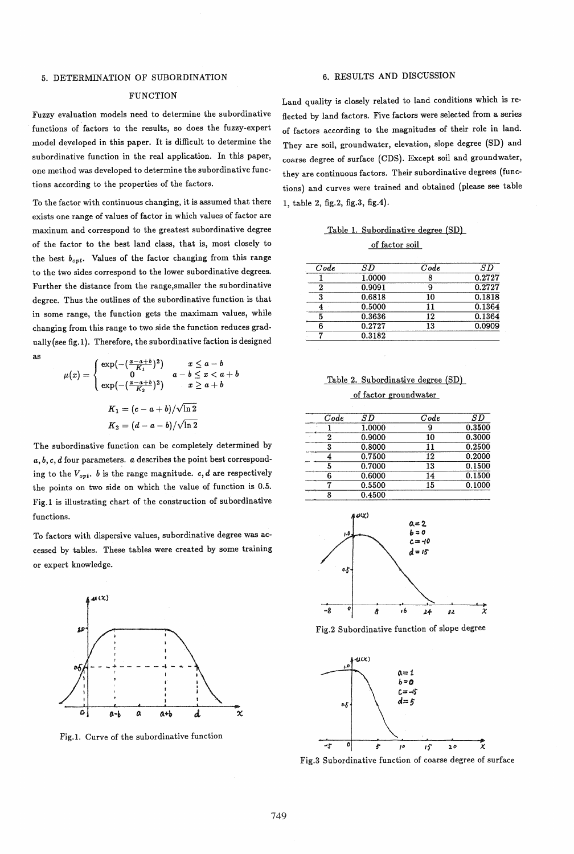#### 5. DETERMINATION OF SUBORDINATION

## FUNCTION

Fuzzy evaluation models need to determine the subordinative functions of factors to the results, so does the fuzzy-expert model developed in this paper. It is difficult to determine the subordinative function in the real application. In this paper, one method was developed to determine the subordinative functions according to the properties of the factors.

To the factor with continuous changing, it is assumed that there exists one range of values of factor in which values of factor are maxinum and correspond to the greatest subordinative degree of the factor to the best land class, that is, most closely to the best  $b_{opt}$ . Values of the factor changing from this range to the two sides correspond to the lower subordinative degrees. Further the distance from the range,smaller the subordinative degree. Thus the outlines of the subordinative function is that in some range, the function gets the maximam values, while changing from this range to two side the function reduces gradually (see fig. 1). Therefore, the subordinative faction is designed

as

$$
\mu(x) = \begin{cases} \exp\left(-\left(\frac{x-a+b}{K_1}\right)^2\right) & x \leq a-b\\ 0 & a-b \leq x < a+b\\ \exp\left(-\left(\frac{x-a+b}{K_2}\right)^2\right) & x \geq a+b \end{cases}
$$

$$
K_1 = (c-a+b)/\sqrt{\ln 2}
$$

$$
K_2 = (d-a-b)/\sqrt{\ln 2}
$$

The subordinative function can be completely determined by *a,* b, *c,* d four parameters. *a* describes the point best corresponding to the  $V_{opt}$ . *b* is the range magnitude. *c*, *d* are respectively the points on two side on which the value of function is 0.5. Fig.l is illustrating chart of the construction of subordinative functions.

To factors with dispersive values, subordinative degree was accessed by tables. These tables were created by some training or expert knowledge.



Fig.1. Curve of the subordinative function

## 6. RESULTS AND DISCUSSION

Land quality is closely related to land conditions which is reflected by land factors. Five factors were selected from a series of factors according to the magnitudes of their role in land. They are soil, groundwater, elevation, slope degree (SD) and coarse degree of surface (CDS). Except soil and groundwater, they are continuous factors. Their subordinative degrees (functions) and curves were trained and obtained (please see table 1, table 2, fig.2, fig.3, fig.4).

|  | Table 1. Subordinative degree (SD) |  |
|--|------------------------------------|--|
|  | af fastan sall                     |  |

of factor soil

| Code | SD     | Code | S D    |
|------|--------|------|--------|
|      | 1.0000 |      | 0.2727 |
| ໆ    | 0.9091 |      | 0.2727 |
|      | 0.6818 | 10   | 0.1818 |
|      | 0.5000 | 11   | 0.1364 |
|      | 0.3636 | 12   | 0.1364 |
|      | 0.2727 | 13   | 0.0909 |
|      | 0.3182 |      |        |

Table 2. Subordinative degree (SD)

#### of factor groundwater

| Code | SD     | Code | SD     |
|------|--------|------|--------|
|      | 1.0000 | 9    | 0.3500 |
|      | 0.9000 | 10   | 0.3000 |
| 3    | 0.8000 | 11   | 0.2500 |
|      | 0.7500 | 12   | 0.2000 |
| 5    | 0.7000 | 13   | 0.1500 |
| R    | 0.6000 | 14   | 0.1500 |
|      | 0.5500 | 15   | 0.1000 |
|      | 0.4500 |      |        |
|      |        |      |        |







Fig.3 Subordinative function of coarse degree of surface